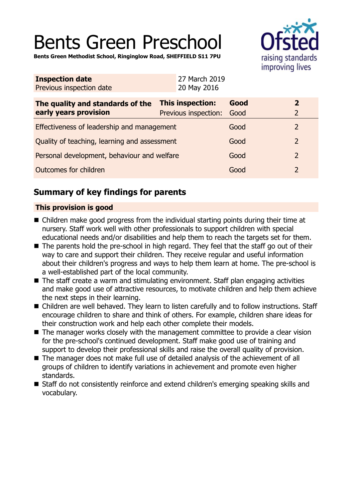# Bents Green Preschool



**Bents Green Methodist School, Ringinglow Road, SHEFFIELD S11 7PU**

| <b>Inspection date</b><br>Previous inspection date | 27 March 2019<br>20 May 2016 |      |                |
|----------------------------------------------------|------------------------------|------|----------------|
| The quality and standards of the                   | <b>This inspection:</b>      | Good | $\overline{2}$ |
| early years provision                              | Previous inspection:         | Good | $\overline{2}$ |
| Effectiveness of leadership and management         |                              | Good | $\overline{2}$ |
| Quality of teaching, learning and assessment       |                              | Good | 2              |
| Personal development, behaviour and welfare        |                              | Good | $\overline{2}$ |
| Outcomes for children                              |                              | Good | $\overline{2}$ |
|                                                    |                              |      |                |

## **Summary of key findings for parents**

## **This provision is good**

- $\blacksquare$  Children make good progress from the individual starting points during their time at nursery. Staff work well with other professionals to support children with special educational needs and/or disabilities and help them to reach the targets set for them.
- The parents hold the pre-school in high regard. They feel that the staff go out of their way to care and support their children. They receive regular and useful information about their children's progress and ways to help them learn at home. The pre-school is a well-established part of the local community.
- $\blacksquare$  The staff create a warm and stimulating environment. Staff plan engaging activities and make good use of attractive resources, to motivate children and help them achieve the next steps in their learning.
- Children are well behaved. They learn to listen carefully and to follow instructions. Staff encourage children to share and think of others. For example, children share ideas for their construction work and help each other complete their models.
- The manager works closely with the management committee to provide a clear vision for the pre-school's continued development. Staff make good use of training and support to develop their professional skills and raise the overall quality of provision.
- The manager does not make full use of detailed analysis of the achievement of all groups of children to identify variations in achievement and promote even higher standards.
- Staff do not consistently reinforce and extend children's emerging speaking skills and vocabulary.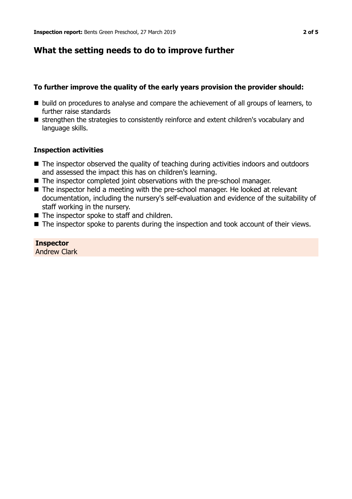## **What the setting needs to do to improve further**

## **To further improve the quality of the early years provision the provider should:**

- build on procedures to analyse and compare the achievement of all groups of learners, to further raise standards
- strengthen the strategies to consistently reinforce and extent children's vocabulary and language skills.

### **Inspection activities**

- $\blacksquare$  The inspector observed the quality of teaching during activities indoors and outdoors and assessed the impact this has on children's learning.
- $\blacksquare$  The inspector completed joint observations with the pre-school manager.
- The inspector held a meeting with the pre-school manager. He looked at relevant documentation, including the nursery's self-evaluation and evidence of the suitability of staff working in the nursery.
- $\blacksquare$  The inspector spoke to staff and children.
- $\blacksquare$  The inspector spoke to parents during the inspection and took account of their views.

**Inspector** Andrew Clark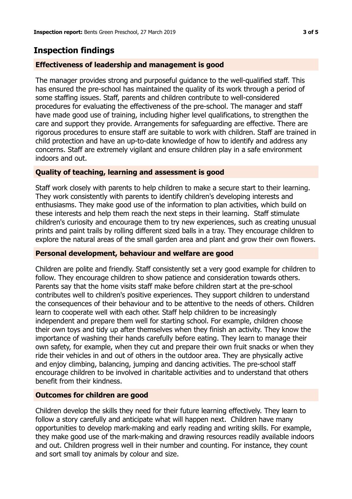## **Inspection findings**

### **Effectiveness of leadership and management is good**

The manager provides strong and purposeful guidance to the well-qualified staff. This has ensured the pre-school has maintained the quality of its work through a period of some staffing issues. Staff, parents and children contribute to well-considered procedures for evaluating the effectiveness of the pre-school. The manager and staff have made good use of training, including higher level qualifications, to strengthen the care and support they provide. Arrangements for safeguarding are effective. There are rigorous procedures to ensure staff are suitable to work with children. Staff are trained in child protection and have an up-to-date knowledge of how to identify and address any concerns. Staff are extremely vigilant and ensure children play in a safe environment indoors and out.

### **Quality of teaching, learning and assessment is good**

Staff work closely with parents to help children to make a secure start to their learning. They work consistently with parents to identify children's developing interests and enthusiasms. They make good use of the information to plan activities, which build on these interests and help them reach the next steps in their learning. Staff stimulate children's curiosity and encourage them to try new experiences, such as creating unusual prints and paint trails by rolling different sized balls in a tray. They encourage children to explore the natural areas of the small garden area and plant and grow their own flowers.

#### **Personal development, behaviour and welfare are good**

Children are polite and friendly. Staff consistently set a very good example for children to follow. They encourage children to show patience and consideration towards others. Parents say that the home visits staff make before children start at the pre-school contributes well to children's positive experiences. They support children to understand the consequences of their behaviour and to be attentive to the needs of others. Children learn to cooperate well with each other. Staff help children to be increasingly independent and prepare them well for starting school. For example, children choose their own toys and tidy up after themselves when they finish an activity. They know the importance of washing their hands carefully before eating. They learn to manage their own safety, for example, when they cut and prepare their own fruit snacks or when they ride their vehicles in and out of others in the outdoor area. They are physically active and enjoy climbing, balancing, jumping and dancing activities. The pre-school staff encourage children to be involved in charitable activities and to understand that others benefit from their kindness.

## **Outcomes for children are good**

Children develop the skills they need for their future learning effectively. They learn to follow a story carefully and anticipate what will happen next. Children have many opportunities to develop mark-making and early reading and writing skills. For example, they make good use of the mark-making and drawing resources readily available indoors and out. Children progress well in their number and counting. For instance, they count and sort small toy animals by colour and size.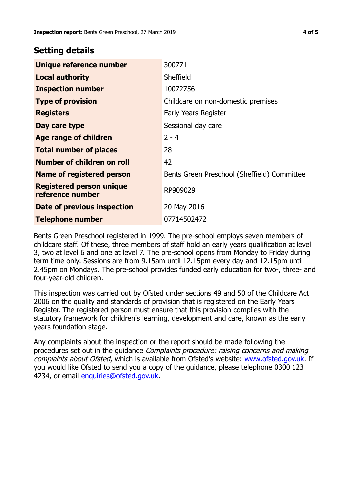## **Setting details**

| Unique reference number                             | 300771                                      |  |
|-----------------------------------------------------|---------------------------------------------|--|
| <b>Local authority</b>                              | Sheffield                                   |  |
| <b>Inspection number</b>                            | 10072756                                    |  |
| <b>Type of provision</b>                            | Childcare on non-domestic premises          |  |
| <b>Registers</b>                                    | Early Years Register                        |  |
| Day care type                                       | Sessional day care                          |  |
| Age range of children                               | $2 - 4$                                     |  |
| <b>Total number of places</b>                       | 28                                          |  |
| Number of children on roll                          | 42                                          |  |
| Name of registered person                           | Bents Green Preschool (Sheffield) Committee |  |
| <b>Registered person unique</b><br>reference number | RP909029                                    |  |
| Date of previous inspection                         | 20 May 2016                                 |  |
| <b>Telephone number</b>                             | 07714502472                                 |  |

Bents Green Preschool registered in 1999. The pre-school employs seven members of childcare staff. Of these, three members of staff hold an early years qualification at level 3, two at level 6 and one at level 7. The pre-school opens from Monday to Friday during term time only. Sessions are from 9.15am until 12.15pm every day and 12.15pm until 2.45pm on Mondays. The pre-school provides funded early education for two-, three- and four-year-old children.

This inspection was carried out by Ofsted under sections 49 and 50 of the Childcare Act 2006 on the quality and standards of provision that is registered on the Early Years Register. The registered person must ensure that this provision complies with the statutory framework for children's learning, development and care, known as the early years foundation stage.

Any complaints about the inspection or the report should be made following the procedures set out in the guidance Complaints procedure: raising concerns and making complaints about Ofsted, which is available from Ofsted's website: www.ofsted.gov.uk. If you would like Ofsted to send you a copy of the guidance, please telephone 0300 123 4234, or email [enquiries@ofsted.gov.uk.](mailto:enquiries@ofsted.gov.uk)